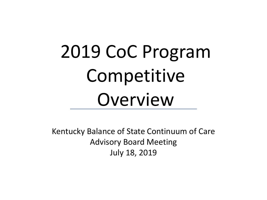# 2019 CoC Program Competitive Overview

Kentucky Balance of State Continuum of Care Advisory Board Meeting July 18, 2019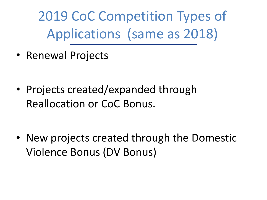2019 CoC Competition Types of Applications (same as 2018)

• Renewal Projects

• Projects created/expanded through Reallocation or CoC Bonus.

• New projects created through the Domestic Violence Bonus (DV Bonus)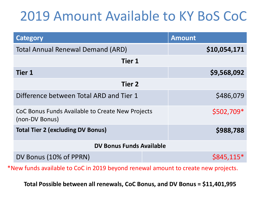#### 2019 Amount Available to KY BoS CoC

| Category                                                           | <b>Amount</b> |
|--------------------------------------------------------------------|---------------|
| <b>Total Annual Renewal Demand (ARD)</b>                           | \$10,054,171  |
| <b>Tier 1</b>                                                      |               |
| <b>Tier 1</b>                                                      | \$9,568,092   |
| <b>Tier 2</b>                                                      |               |
| Difference between Total ARD and Tier 1                            | \$486,079     |
| CoC Bonus Funds Available to Create New Projects<br>(non-DV Bonus) | \$502,709*    |
| <b>Total Tier 2 (excluding DV Bonus)</b>                           | \$988,788     |
| <b>DV Bonus Funds Available</b>                                    |               |
| DV Bonus (10% of PPRN)                                             | $$845,115*$   |

\*New funds available to CoC in 2019 beyond renewal amount to create new projects.

**Total Possible between all renewals, CoC Bonus, and DV Bonus = \$11,401,995**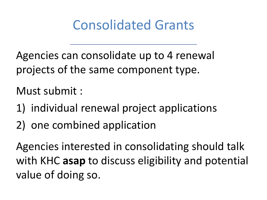#### Consolidated Grants

Agencies can consolidate up to 4 renewal projects of the same component type.

Must submit :

- 1) individual renewal project applications
- 2) one combined application

Agencies interested in consolidating should talk with KHC **asap** to discuss eligibility and potential value of doing so.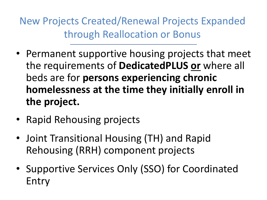New Projects Created/Renewal Projects Expanded through Reallocation or Bonus

- Permanent supportive housing projects that meet the requirements of **DedicatedPLUS or** where all beds are for **persons experiencing chronic homelessness at the time they initially enroll in the project.**
- Rapid Rehousing projects
- Joint Transitional Housing (TH) and Rapid Rehousing (RRH) component projects
- Supportive Services Only (SSO) for Coordinated Entry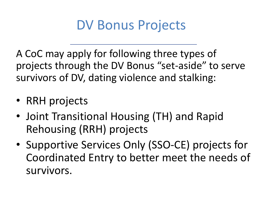#### DV Bonus Projects

A CoC may apply for following three types of projects through the DV Bonus "set-aside" to serve survivors of DV, dating violence and stalking:

- RRH projects
- Joint Transitional Housing (TH) and Rapid Rehousing (RRH) projects
- Supportive Services Only (SSO-CE) projects for Coordinated Entry to better meet the needs of survivors.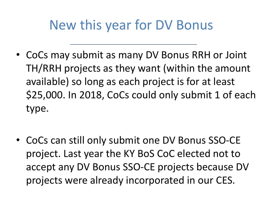#### New this year for DV Bonus

• CoCs may submit as many DV Bonus RRH or Joint TH/RRH projects as they want (within the amount available) so long as each project is for at least \$25,000. In 2018, CoCs could only submit 1 of each type.

• CoCs can still only submit one DV Bonus SSO-CE project. Last year the KY BoS CoC elected not to accept any DV Bonus SSO-CE projects because DV projects were already incorporated in our CES.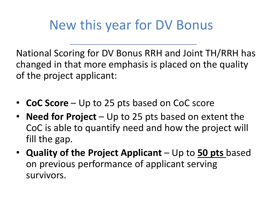#### New this year for DV Bonus

National Scoring for DV Bonus RRH and Joint TH/RRH has changed in that more emphasis is placed on the quality of the project applicant:

- **CoC Score**  Up to 25 pts based on CoC score
- **Need for Project**  Up to 25 pts based on extent the CoC is able to quantify need and how the project will fill the gap.
- **Quality of the Project Applicant**  Up to **50 pts** based on previous performance of applicant serving survivors.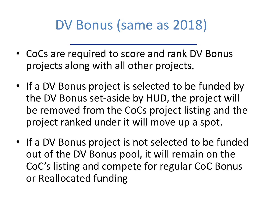#### DV Bonus (same as 2018)

- CoCs are required to score and rank DV Bonus projects along with all other projects.
- If a DV Bonus project is selected to be funded by the DV Bonus set-aside by HUD, the project will be removed from the CoCs project listing and the project ranked under it will move up a spot.
- If a DV Bonus project is not selected to be funded out of the DV Bonus pool, it will remain on the CoC's listing and compete for regular CoC Bonus or Reallocated funding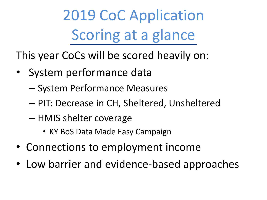2019 CoC Application Scoring at a glance

This year CoCs will be scored heavily on:

- System performance data
	- System Performance Measures
	- PIT: Decrease in CH, Sheltered, Unsheltered
	- HMIS shelter coverage
		- KY BoS Data Made Easy Campaign
- Connections to employment income
- Low barrier and evidence-based approaches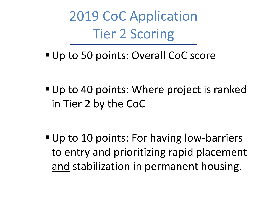2019 CoC Application Tier 2 Scoring

■ Up to 50 points: Overall CoC score

■ Up to 40 points: Where project is ranked in Tier 2 by the CoC

■ Up to 10 points: For having low-barriers to entry and prioritizing rapid placement and stabilization in permanent housing.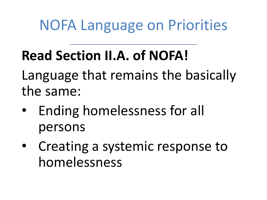## **Read Section II.A. of NOFA!**

Language that remains the basically the same:

- Ending homelessness for all persons
- Creating a systemic response to homelessness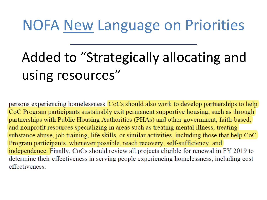# Added to "Strategically allocating and using resources"

persons experiencing homelessness. CoCs should also work to develop partnerships to help CoC Program participants sustainably exit permanent supportive housing, such as through partnerships with Public Housing Authorities (PHAs) and other government, faith-based, and nonprofit resources specializing in areas such as treating mental illness, treating substance abuse, job training, life skills, or similar activities, including those that help CoC Program participants, whenever possible, reach recovery, self-sufficiency, and independence. Finally, CoCs should review all projects eligible for renewal in FY 2019 to determine their effectiveness in serving people experiencing homelessness, including cost effectiveness.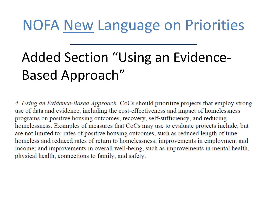# Added Section "Using an Evidence-Based Approach"

4. Using an Evidence-Based Approach. CoCs should prioritize projects that employ strong use of data and evidence, including the cost-effectiveness and impact of homelessness programs on positive housing outcomes, recovery, self-sufficiency, and reducing homelessness. Examples of measures that CoCs may use to evaluate projects include, but are not limited to: rates of positive housing outcomes, such as reduced length of time homeless and reduced rates of return to homelessness; improvements in employment and income; and improvements in overall well-being, such as improvements in mental health, physical health, connections to family, and safety.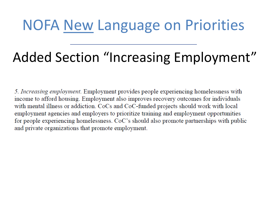## Added Section "Increasing Employment"

5. Increasing employment. Employment provides people experiencing homelessness with income to afford housing. Employment also improves recovery outcomes for individuals with mental illness or addiction. CoCs and CoC-funded projects should work with local employment agencies and employers to prioritize training and employment opportunities for people experiencing homelessness. CoC's should also promote partnerships with public and private organizations that promote employment.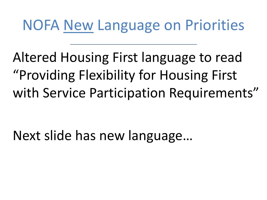Altered Housing First language to read "Providing Flexibility for Housing First with Service Participation Requirements"

Next slide has new language…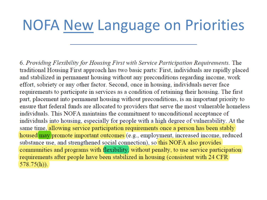6. Providing Flexibility for Housing First with Service Participation Requirements. The traditional Housing First approach has two basic parts: First, individuals are rapidly placed and stabilized in permanent housing without any preconditions regarding income, work effort, sobriety or any other factor. Second, once in housing, individuals never face requirements to participate in services as a condition of retaining their housing. The first part, placement into permanent housing without preconditions, is an important priority to ensure that federal funds are allocated to providers that serve the most vulnerable homeless individuals. This NOFA maintains the commitment to unconditional acceptance of individuals into housing, especially for people with a high degree of vulnerability. At the same time, allowing service participation requirements once a person has been stably housed may promote important outcomes (e.g., employment, increased income, reduced substance use, and strengthened social connection), so this NOFA also provides communities and programs with flexibility, without penalty, to use service participation requirements after people have been stabilized in housing (consistent with 24 CFR)  $578.75(h)$ ).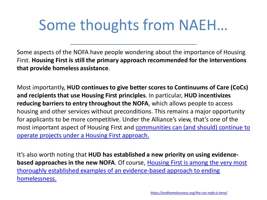# Some thoughts from NAEH…

Some aspects of the NOFA have people wondering about the importance of Housing First. **Housing First is still the primary approach recommended for the interventions that provide homeless assistance**.

Most importantly, **HUD continues to give better scores to Continuums of Care (CoCs) and recipients that use Housing First principles**. In particular, **HUD incentivizes reducing barriers to entry throughout the NOFA**, which allows people to access housing and other services without preconditions. This remains a major opportunity for applicants to be more competitive. Under the Alliance's view, that's one of the most important aspect of Housing First and communities can (and should) continue to [operate projects under a Housing First approach.](https://endhomelessness.org/what-housing-first-really-means/)

It's also worth noting that **HUD has established a new priority on using evidencebased approaches in the new NOFA**. Of course, Housing First is among the very most [thoroughly established examples of an evidence-based approach to ending](https://endhomelessness.org/why-housing-first-why-not-housing-second-or-third/)  homelessness.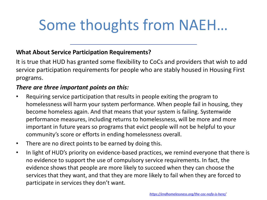# Some thoughts from NAEH…

#### **What About Service Participation Requirements?**

It is true that HUD has granted some flexibility to CoCs and providers that wish to add service participation requirements for people who are stably housed in Housing First programs.

#### *There are three important points on this:*

- Requiring service participation that results in people exiting the program to homelessness will harm your system performance. When people fail in housing, they become homeless again. And that means that your system is failing. Systemwide performance measures, including returns to homelessness, will be more and more important in future years so programs that evict people will not be helpful to your community's score or efforts in ending homelessness overall.
- There are no direct points to be earned by doing this.
- In light of HUD's priority on evidence-based practices, we remind everyone that there is no evidence to support the use of compulsory service requirements. In fact, the evidence shows that people are more likely to succeed when they can choose the services that they want, and that they are more likely to fail when they are forced to participate in services they don't want.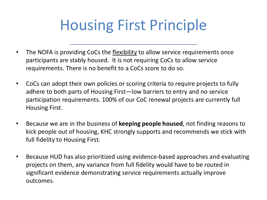# Housing First Principle

- The NOFA is providing CoCs the flexibility to allow service requirements once participants are stably housed. It is not requiring CoCs to allow service requirements. There is no benefit to a CoCs score to do so.
- CoCs can adopt their own policies or scoring criteria to require projects to fully adhere to both parts of Housing First—low barriers to entry and no service participation requirements. 100% of our CoC renewal projects are currently full Housing First.
- Because we are in the business of **keeping people housed**, not finding reasons to kick people out of housing, KHC strongly supports and recommends we stick with full fidelity to Housing First.
- Because HUD has also prioritized using evidence-based approaches and evaluating projects on them, any variance from full fidelity would have to be routed in significant evidence demonstrating service requirements actually improve outcomes.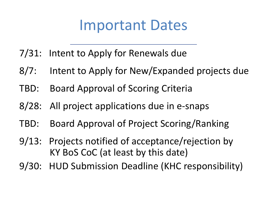#### Important Dates

- 7/31: Intent to Apply for Renewals due
- 8/7: Intent to Apply for New/Expanded projects due
- TBD: Board Approval of Scoring Criteria
- 8/28: All project applications due in e-snaps
- TBD: Board Approval of Project Scoring/Ranking
- 9/13: Projects notified of acceptance/rejection by KY BoS CoC (at least by this date)
- 9/30: HUD Submission Deadline (KHC responsibility)